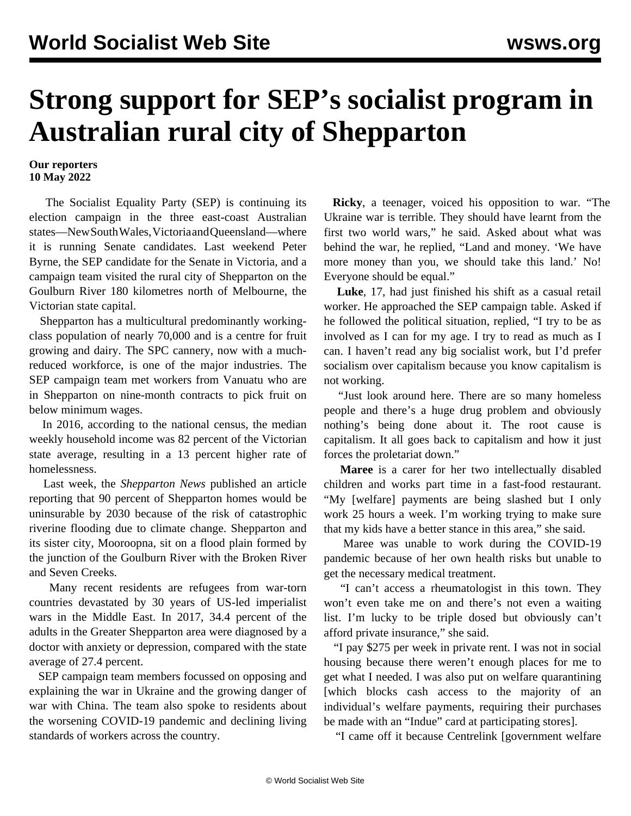## **Strong support for SEP's socialist program in Australian rural city of Shepparton**

## **Our reporters 10 May 2022**

 The Socialist Equality Party (SEP) is continuing its election campaign in the three east-coast Australian states—New South Wales, Victoria and Queensland—where it is running Senate candidates. Last weekend Peter Byrne, the SEP candidate for the Senate in Victoria, and a campaign team visited the rural city of Shepparton on the Goulburn River 180 kilometres north of Melbourne, the Victorian state capital.

 Shepparton has a multicultural predominantly workingclass population of nearly 70,000 and is a centre for fruit growing and dairy. The SPC cannery, now with a muchreduced workforce, is one of the major industries. The SEP campaign team met workers from Vanuatu who are in Shepparton on nine-month contracts to pick fruit on below minimum wages.

 In 2016, according to the national census, the median weekly household income was 82 percent of the Victorian state average, resulting in a 13 percent higher rate of homelessness.

 Last week, the *Shepparton News* published an article reporting that 90 percent of Shepparton homes would be uninsurable by 2030 because of the risk of catastrophic riverine flooding due to climate change. Shepparton and its sister city, Mooroopna, sit on a flood plain formed by the junction of the Goulburn River with the Broken River and Seven Creeks.

 Many recent residents are refugees from war-torn countries devastated by 30 years of US-led imperialist wars in the Middle East. In 2017, 34.4 percent of the adults in the Greater Shepparton area were diagnosed by a doctor with anxiety or depression, compared with the state average of 27.4 percent.

 SEP campaign team members focussed on opposing and explaining the war in Ukraine and the growing danger of war with China. The team also spoke to residents about the worsening COVID-19 pandemic and declining living standards of workers across the country.

 **Ricky**, a teenager, voiced his opposition to war. "The Ukraine war is terrible. They should have learnt from the first two world wars," he said. Asked about what was behind the war, he replied, "Land and money. 'We have more money than you, we should take this land.' No! Everyone should be equal."

 **Luke**, 17, had just finished his shift as a casual retail worker. He approached the SEP campaign table. Asked if he followed the political situation, replied, "I try to be as involved as I can for my age. I try to read as much as I can. I haven't read any big socialist work, but I'd prefer socialism over capitalism because you know capitalism is not working.

 "Just look around here. There are so many homeless people and there's a huge drug problem and obviously nothing's being done about it. The root cause is capitalism. It all goes back to capitalism and how it just forces the proletariat down."

 **Maree** is a carer for her two intellectually disabled children and works part time in a fast-food restaurant. "My [welfare] payments are being slashed but I only work 25 hours a week. I'm working trying to make sure that my kids have a better stance in this area," she said.

 Maree was unable to work during the COVID-19 pandemic because of her own health risks but unable to get the necessary medical treatment.

 "I can't access a rheumatologist in this town. They won't even take me on and there's not even a waiting list. I'm lucky to be triple dosed but obviously can't afford private insurance," she said.

 "I pay \$275 per week in private rent. I was not in social housing because there weren't enough places for me to get what I needed. I was also put on welfare quarantining [which blocks cash access to the majority of an individual's welfare payments, requiring their purchases be made with an "Indue" card at participating stores].

"I came off it because Centrelink [government welfare